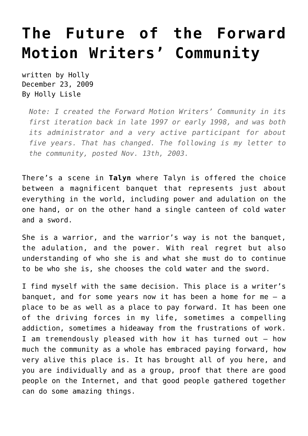## **[The Future of the Forward](https://hollylisle.com/the-future-of-the-forward-motion-writers-community/) [Motion Writers' Community](https://hollylisle.com/the-future-of-the-forward-motion-writers-community/)**

written by Holly December 23, 2009 [By Holly Lisle](https://hollylisle.com)

*Note: I created the Forward Motion Writers' Community in its first iteration back in late 1997 or early 1998, and was both its administrator and a very active participant for about five years. That has changed. The following is my letter to the community, posted Nov. 13th, 2003.*

There's a scene in **Talyn** where Talyn is offered the choice between a magnificent banquet that represents just about everything in the world, including power and adulation on the one hand, or on the other hand a single canteen of cold water and a sword.

She is a warrior, and the warrior's way is not the banquet, the adulation, and the power. With real regret but also understanding of who she is and what she must do to continue to be who she is, she chooses the cold water and the sword.

I find myself with the same decision. This place is a writer's banquet, and for some years now it has been a home for me — a place to be as well as a place to pay forward. It has been one of the driving forces in my life, sometimes a compelling addiction, sometimes a hideaway from the frustrations of work. I am tremendously pleased with how it has turned out — how much the community as a whole has embraced paying forward, how very alive this place is. It has brought all of you here, and you are individually and as a group, proof that there are good people on the Internet, and that good people gathered together can do some amazing things.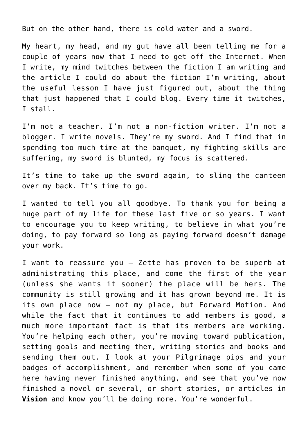But on the other hand, there is cold water and a sword.

My heart, my head, and my gut have all been telling me for a couple of years now that I need to get off the Internet. When I write, my mind twitches between the fiction I am writing and the article I could do about the fiction I'm writing, about the useful lesson I have just figured out, about the thing that just happened that I could blog. Every time it twitches, I stall.

I'm not a teacher. I'm not a non-fiction writer. I'm not a blogger. I write novels. They're my sword. And I find that in spending too much time at the banquet, my fighting skills are suffering, my sword is blunted, my focus is scattered.

It's time to take up the sword again, to sling the canteen over my back. It's time to go.

I wanted to tell you all goodbye. To thank you for being a huge part of my life for these last five or so years. I want to encourage you to keep writing, to believe in what you're doing, to pay forward so long as paying forward doesn't damage your work.

I want to reassure you — Zette has proven to be superb at administrating this place, and come the first of the year (unless she wants it sooner) the place will be hers. The community is still growing and it has grown beyond me. It is its own place now — not my place, but Forward Motion. And while the fact that it continues to add members is good, a much more important fact is that its members are working. You're helping each other, you're moving toward publication, setting goals and meeting them, writing stories and books and sending them out. I look at your Pilgrimage pips and your badges of accomplishment, and remember when some of you came here having never finished anything, and see that you've now finished a novel or several, or short stories, or articles in **[Vision](http://www.lazette.net/Vision/)** and know you'll be doing more. You're wonderful.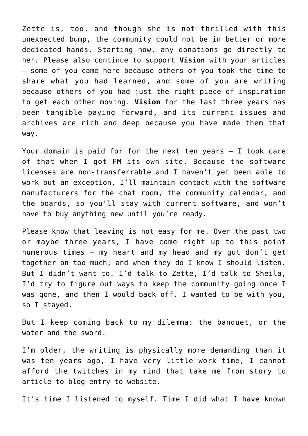Zette is, too, and though she is not thrilled with this unexpected bump, the community could not be in better or more dedicated hands. Starting now, any donations go directly to her. Please also continue to support **Vision** with your articles — some of you came here because others of you took the time to share what you had learned, and some of you are writing because others of you had just the right piece of inspiration to get each other moving. **Vision** for the last three years has been tangible paying forward, and its current issues and archives are rich and deep because you have made them that way.

Your domain is paid for for the next ten years — I took care of that when I got FM its own site. Because the software licenses are non-transferrable and I haven't yet been able to work out an exception, I'll maintain contact with the software manufacturers for the chat room, the community calendar, and the boards, so you'll stay with current software, and won't have to buy anything new until you're ready.

Please know that leaving is not easy for me. Over the past two or maybe three years, I have come right up to this point numerous times — my heart and my head and my gut don't get together on too much, and when they do I know I should listen. But I didn't want to. I'd talk to Zette, I'd talk to Sheila, I'd try to figure out ways to keep the community going once I was gone, and then I would back off. I wanted to be with you, so I stayed.

But I keep coming back to my dilemma: the banquet, or the water and the sword.

I'm older, the writing is physically more demanding than it was ten years ago, I have very little work time, I cannot afford the twitches in my mind that take me from story to article to blog entry to website.

It's time I listened to myself. Time I did what I have known